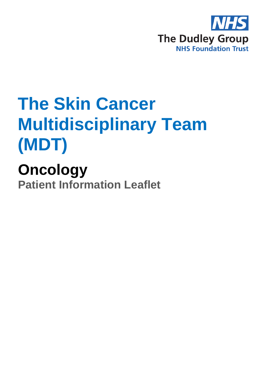

## **The Skin Cancer Multidisciplinary Team (MDT)**

**Oncology Patient Information Leaflet**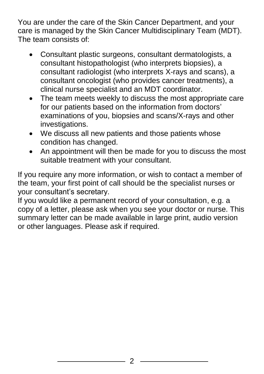You are under the care of the Skin Cancer Department, and your care is managed by the Skin Cancer Multidisciplinary Team (MDT). The team consists of:

- Consultant plastic surgeons, consultant dermatologists, a consultant histopathologist (who interprets biopsies), a consultant radiologist (who interprets X-rays and scans), a consultant oncologist (who provides cancer treatments), a clinical nurse specialist and an MDT coordinator.
- The team meets weekly to discuss the most appropriate care for our patients based on the information from doctors' examinations of you, biopsies and scans/X-rays and other investigations.
- We discuss all new patients and those patients whose condition has changed.
- An appointment will then be made for you to discuss the most suitable treatment with your consultant.

If you require any more information, or wish to contact a member of the team, your first point of call should be the specialist nurses or your consultant's secretary.

If you would like a permanent record of your consultation, e.g. a copy of a letter, please ask when you see your doctor or nurse. This summary letter can be made available in large print, audio version or other languages. Please ask if required.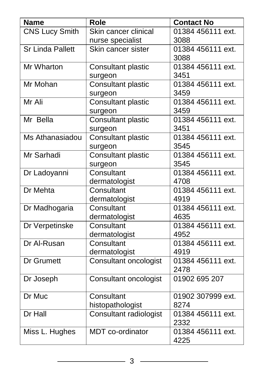| <b>Name</b>             | <b>Role</b>                  | <b>Contact No</b>         |
|-------------------------|------------------------------|---------------------------|
| <b>CNS Lucy Smith</b>   | Skin cancer clinical         | 01384 456111 ext.         |
|                         | nurse specialist             | 3088                      |
| <b>Sr Linda Pallett</b> | Skin cancer sister           | 01384 456111 ext.         |
|                         |                              | 3088                      |
| Mr Wharton              | Consultant plastic           | 01384 456111 ext.         |
|                         | surgeon                      | 3451                      |
| Mr Mohan                | <b>Consultant plastic</b>    | 01384 456111 ext.         |
|                         | surgeon                      | 3459                      |
| Mr Ali                  | <b>Consultant plastic</b>    | 01384 456111 ext.         |
|                         | surgeon                      | 3459                      |
| Mr Bella                | <b>Consultant plastic</b>    | 01384 456111 ext.         |
|                         | surgeon                      | 3451                      |
| Ms Athanasiadou         | Consultant plastic           | 01384 456111 ext.         |
|                         | surgeon                      | 3545                      |
| Mr Sarhadi              | <b>Consultant plastic</b>    | 01384 456111 ext.         |
|                         | surgeon                      | 3545                      |
| Dr Ladoyanni            | Consultant                   | 01384 456111 ext.<br>4708 |
| Dr Mehta                | dermatologist<br>Consultant  | 01384 456111 ext.         |
|                         | dermatologist                | 4919                      |
| Dr Madhogaria           | Consultant                   | 01384 456111 ext.         |
|                         | dermatologist                | 4635                      |
| Dr Verpetinske          | Consultant                   | 01384 456111 ext.         |
|                         | dermatologist                | 4952                      |
| Dr Al-Rusan             | Consultant                   | 01384 456111 ext.         |
|                         | dermatologist                | 4919                      |
| Dr Grumett              | <b>Consultant oncologist</b> | 01384 456111 ext.         |
|                         |                              | 2478                      |
| Dr Joseph               | <b>Consultant oncologist</b> | 01902 695 207             |
|                         |                              |                           |
| Dr Muc                  | Consultant                   | 01902 307999 ext.         |
|                         | histopathologist             | 8274                      |
| Dr Hall                 | Consultant radiologist       | 01384 456111 ext.         |
|                         |                              | 2332                      |
| Miss L. Hughes          | <b>MDT</b> co-ordinator      | 01384 456111 ext.         |
|                         |                              | 4225                      |